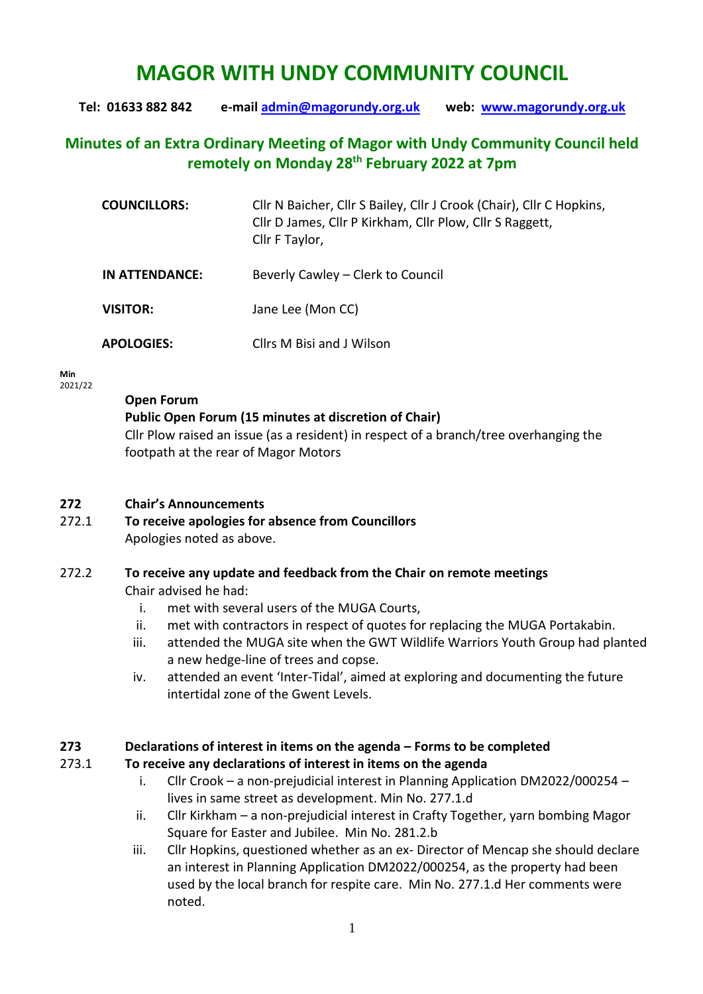# **MAGOR WITH UNDY COMMUNITY COUNCIL**

**Tel: 01633 882 842 e-mail [admin@magorundy.org.uk](mailto:admin@magorundy.org.uk) web: [www.magorundy.org.uk](http://www.magorundy.org.uk/)**

# **Minutes of an Extra Ordinary Meeting of Magor with Undy Community Council held remotely on Monday 28th February 2022 at 7pm**

| <b>COUNCILLORS:</b> | Cllr N Baicher, Cllr S Bailey, Cllr J Crook (Chair), Cllr C Hopkins,<br>Cllr D James, Cllr P Kirkham, Cllr Plow, Cllr S Raggett,<br>Cllr F Taylor, |
|---------------------|----------------------------------------------------------------------------------------------------------------------------------------------------|
| IN ATTENDANCE:      | Beverly Cawley - Clerk to Council                                                                                                                  |
| <b>VISITOR:</b>     | Jane Lee (Mon CC)                                                                                                                                  |
| <b>APOLOGIES:</b>   | Cllrs M Bisi and J Wilson                                                                                                                          |

**Min**  2021/22

#### **Open Forum**

## **Public Open Forum (15 minutes at discretion of Chair)**

Cllr Plow raised an issue (as a resident) in respect of a branch/tree overhanging the footpath at the rear of Magor Motors

#### **272 Chair's Announcements**

272.1 **To receive apologies for absence from Councillors** Apologies noted as above.

# 272.2 **To receive any update and feedback from the Chair on remote meetings**

Chair advised he had:

- i. met with several users of the MUGA Courts,
- ii. met with contractors in respect of quotes for replacing the MUGA Portakabin.
- iii. attended the MUGA site when the GWT Wildlife Warriors Youth Group had planted a new hedge-line of trees and copse.
- iv. attended an event 'Inter-Tidal', aimed at exploring and documenting the future intertidal zone of the Gwent Levels.

## **273 Declarations of interest in items on the agenda – Forms to be completed**

## 273.1 **To receive any declarations of interest in items on the agenda**

- i. Cllr Crook a non-prejudicial interest in Planning Application DM2022/000254 lives in same street as development. Min No. 277.1.d
- ii. Cllr Kirkham a non-prejudicial interest in Crafty Together, yarn bombing Magor Square for Easter and Jubilee. Min No. 281.2.b
- iii. Cllr Hopkins, questioned whether as an ex- Director of Mencap she should declare an interest in Planning Application DM2022/000254, as the property had been used by the local branch for respite care. Min No. 277.1.d Her comments were noted.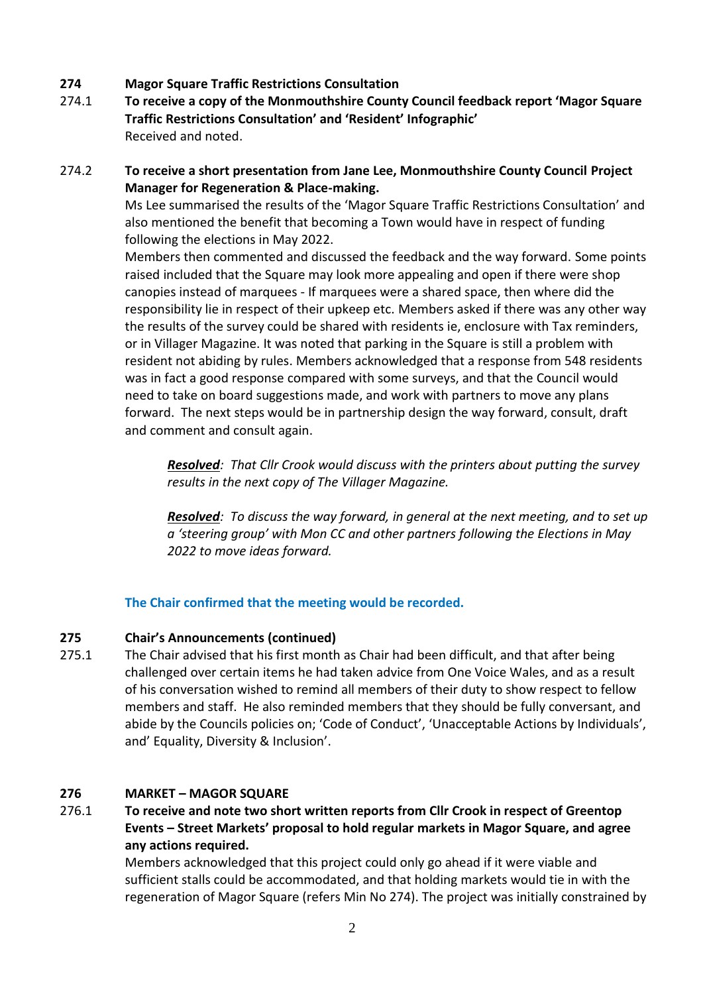- **274 Magor Square Traffic Restrictions Consultation**
- 274.1 **To receive a copy of the Monmouthshire County Council feedback report 'Magor Square Traffic Restrictions Consultation' and 'Resident' Infographic'** Received and noted.
- 274.2 **To receive a short presentation from Jane Lee, Monmouthshire County Council Project Manager for Regeneration & Place-making.**

Ms Lee summarised the results of the 'Magor Square Traffic Restrictions Consultation' and also mentioned the benefit that becoming a Town would have in respect of funding following the elections in May 2022.

Members then commented and discussed the feedback and the way forward. Some points raised included that the Square may look more appealing and open if there were shop canopies instead of marquees - If marquees were a shared space, then where did the responsibility lie in respect of their upkeep etc. Members asked if there was any other way the results of the survey could be shared with residents ie, enclosure with Tax reminders, or in Villager Magazine. It was noted that parking in the Square is still a problem with resident not abiding by rules. Members acknowledged that a response from 548 residents was in fact a good response compared with some surveys, and that the Council would need to take on board suggestions made, and work with partners to move any plans forward. The next steps would be in partnership design the way forward, consult, draft and comment and consult again.

*Resolved: That Cllr Crook would discuss with the printers about putting the survey results in the next copy of The Villager Magazine.*

*Resolved: To discuss the way forward, in general at the next meeting, and to set up a 'steering group' with Mon CC and other partners following the Elections in May 2022 to move ideas forward.*

**The Chair confirmed that the meeting would be recorded.**

## **275 Chair's Announcements (continued)**

275.1 The Chair advised that his first month as Chair had been difficult, and that after being challenged over certain items he had taken advice from One Voice Wales, and as a result of his conversation wished to remind all members of their duty to show respect to fellow members and staff. He also reminded members that they should be fully conversant, and abide by the Councils policies on; 'Code of Conduct', 'Unacceptable Actions by Individuals', and' Equality, Diversity & Inclusion'.

## **276 MARKET – MAGOR SQUARE**

276.1 **To receive and note two short written reports from Cllr Crook in respect of Greentop Events – Street Markets' proposal to hold regular markets in Magor Square, and agree any actions required.** 

Members acknowledged that this project could only go ahead if it were viable and sufficient stalls could be accommodated, and that holding markets would tie in with the regeneration of Magor Square (refers Min No 274). The project was initially constrained by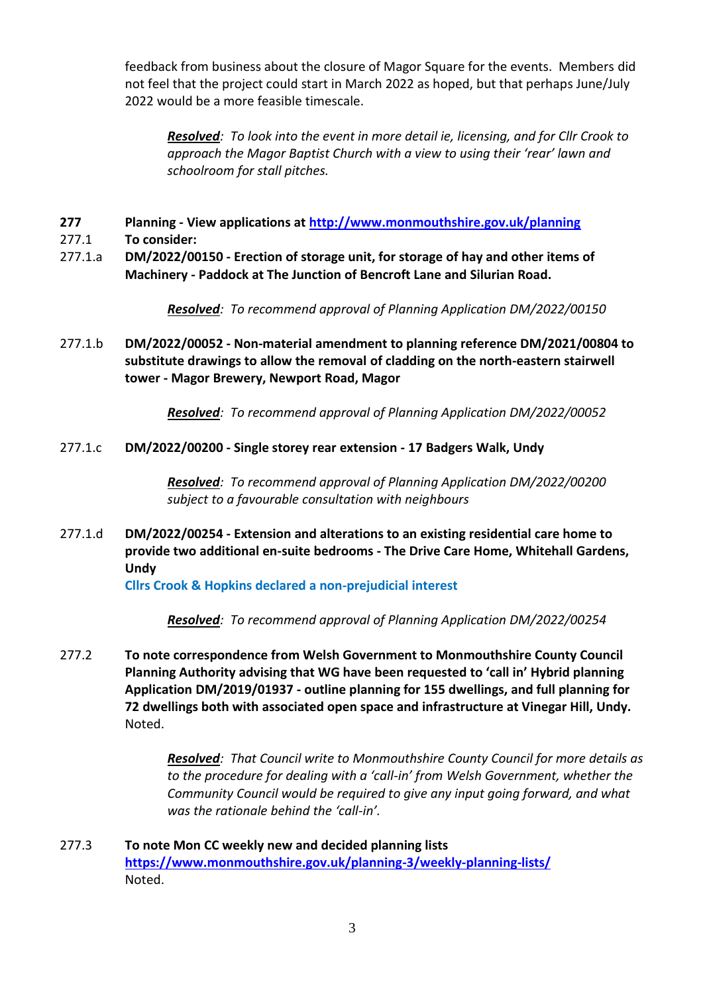feedback from business about the closure of Magor Square for the events. Members did not feel that the project could start in March 2022 as hoped, but that perhaps June/July 2022 would be a more feasible timescale.

*Resolved: To look into the event in more detail ie, licensing, and for Cllr Crook to approach the Magor Baptist Church with a view to using their 'rear' lawn and schoolroom for stall pitches.*

- **277 Planning - View applications at<http://www.monmouthshire.gov.uk/planning>**
- 277.1 **To consider:**
- 277.1.a **DM/2022/00150 - Erection of storage unit, for storage of hay and other items of Machinery - Paddock at The Junction of Bencroft Lane and Silurian Road.**

*Resolved: To recommend approval of Planning Application DM/2022/00150*

277.1.b **DM/2022/00052 - Non-material amendment to planning reference DM/2021/00804 to substitute drawings to allow the removal of cladding on the north-eastern stairwell tower - Magor Brewery, Newport Road, Magor**

*Resolved: To recommend approval of Planning Application DM/2022/00052*

277.1.c **DM/2022/00200 - Single storey rear extension - 17 Badgers Walk, Undy**

*Resolved: To recommend approval of Planning Application DM/2022/00200 subject to a favourable consultation with neighbours*

277.1.d **DM/2022/00254 - Extension and alterations to an existing residential care home to provide two additional en-suite bedrooms - The Drive Care Home, Whitehall Gardens, Undy**

**Cllrs Crook & Hopkins declared a non-prejudicial interest**

*Resolved: To recommend approval of Planning Application DM/2022/00254*

277.2 **To note correspondence from Welsh Government to Monmouthshire County Council Planning Authority advising that WG have been requested to 'call in' Hybrid planning Application DM/2019/01937 - outline planning for 155 dwellings, and full planning for 72 dwellings both with associated open space and infrastructure at Vinegar Hill, Undy.** Noted.

> *Resolved: That Council write to Monmouthshire County Council for more details as to the procedure for dealing with a 'call-in' from Welsh Government, whether the Community Council would be required to give any input going forward, and what was the rationale behind the 'call-in'.*

277.3 **To note Mon CC weekly new and decided planning lists <https://www.monmouthshire.gov.uk/planning-3/weekly-planning-lists/>** Noted.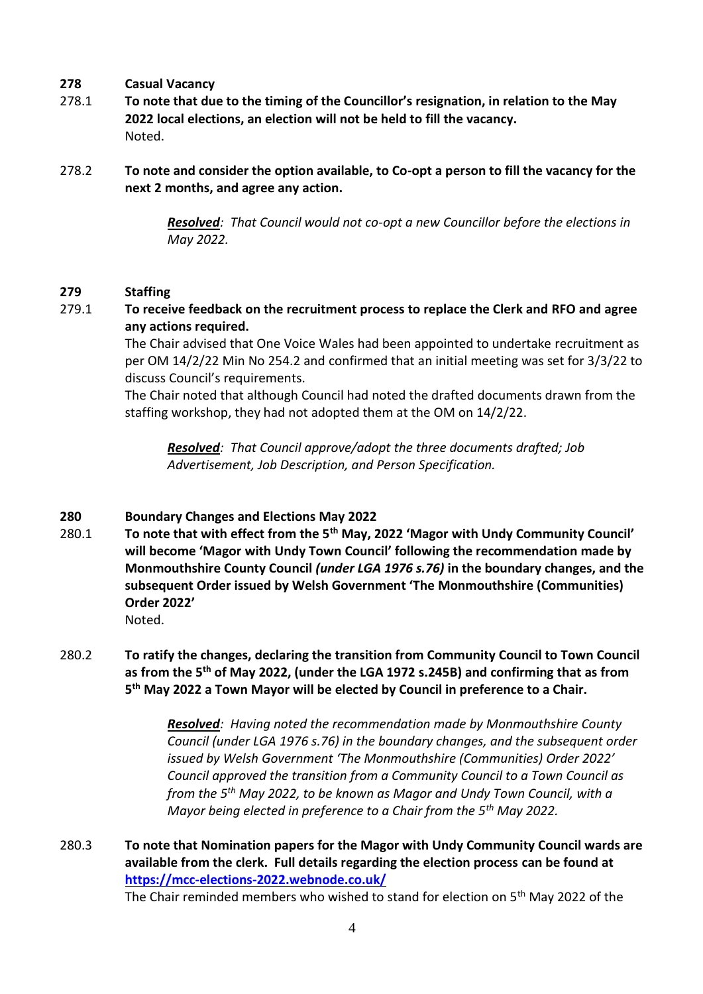#### **278 Casual Vacancy**

- 278.1 **To note that due to the timing of the Councillor's resignation, in relation to the May 2022 local elections, an election will not be held to fill the vacancy.**  Noted.
- 278.2 **To note and consider the option available, to Co-opt a person to fill the vacancy for the next 2 months, and agree any action.**

*Resolved: That Council would not co-opt a new Councillor before the elections in May 2022.*

#### **279 Staffing**

## 279.1 **To receive feedback on the recruitment process to replace the Clerk and RFO and agree any actions required.**

The Chair advised that One Voice Wales had been appointed to undertake recruitment as per OM 14/2/22 Min No 254.2 and confirmed that an initial meeting was set for 3/3/22 to discuss Council's requirements.

The Chair noted that although Council had noted the drafted documents drawn from the staffing workshop, they had not adopted them at the OM on 14/2/22.

*Resolved: That Council approve/adopt the three documents drafted; Job Advertisement, Job Description, and Person Specification.*

## **280 Boundary Changes and Elections May 2022**

280.1 **To note that with effect from the 5th May, 2022 'Magor with Undy Community Council' will become 'Magor with Undy Town Council' following the recommendation made by Monmouthshire County Council** *(under LGA 1976 s.76)* **in the boundary changes, and the subsequent Order issued by Welsh Government 'The Monmouthshire (Communities) Order 2022'**  Noted.

## 280.2 **To ratify the changes, declaring the transition from Community Council to Town Council as from the 5th of May 2022, (under the LGA 1972 s.245B) and confirming that as from 5 th May 2022 a Town Mayor will be elected by Council in preference to a Chair.**

*Resolved: Having noted the recommendation made by Monmouthshire County Council (under LGA 1976 s.76) in the boundary changes, and the subsequent order issued by Welsh Government 'The Monmouthshire (Communities) Order 2022' Council approved the transition from a Community Council to a Town Council as from the 5th May 2022, to be known as Magor and Undy Town Council, with a Mayor being elected in preference to a Chair from the 5th May 2022.*

## 280.3 **To note that Nomination papers for the Magor with Undy Community Council wards are available from the clerk. Full details regarding the election process can be found at <https://mcc-elections-2022.webnode.co.uk/>**

The Chair reminded members who wished to stand for election on 5<sup>th</sup> May 2022 of the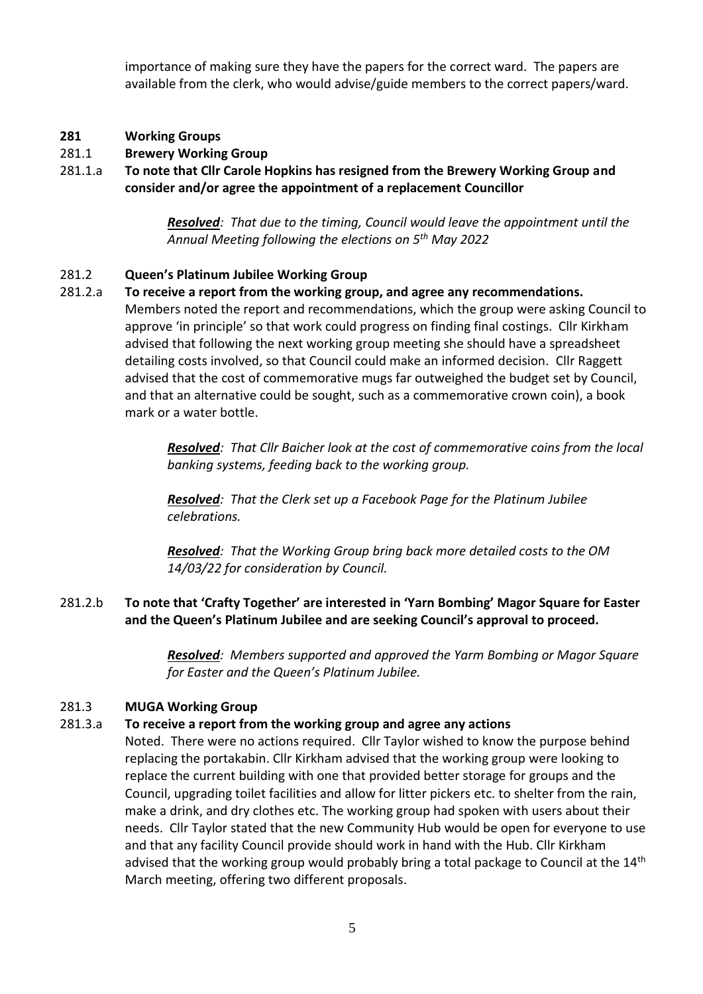importance of making sure they have the papers for the correct ward. The papers are available from the clerk, who would advise/guide members to the correct papers/ward.

#### **281 Working Groups**

#### 281.1 **Brewery Working Group**

281.1.a **To note that Cllr Carole Hopkins has resigned from the Brewery Working Group and consider and/or agree the appointment of a replacement Councillor**

> *Resolved: That due to the timing, Council would leave the appointment until the Annual Meeting following the elections on 5th May 2022*

#### 281.2 **Queen's Platinum Jubilee Working Group**

## 281.2.a **To receive a report from the working group, and agree any recommendations.**

Members noted the report and recommendations, which the group were asking Council to approve 'in principle' so that work could progress on finding final costings. Cllr Kirkham advised that following the next working group meeting she should have a spreadsheet detailing costs involved, so that Council could make an informed decision. Cllr Raggett advised that the cost of commemorative mugs far outweighed the budget set by Council, and that an alternative could be sought, such as a commemorative crown coin), a book mark or a water bottle.

> *Resolved: That Cllr Baicher look at the cost of commemorative coins from the local banking systems, feeding back to the working group.*

*Resolved: That the Clerk set up a Facebook Page for the Platinum Jubilee celebrations.*

*Resolved: That the Working Group bring back more detailed costs to the OM 14/03/22 for consideration by Council.*

## 281.2.b **To note that 'Crafty Together' are interested in 'Yarn Bombing' Magor Square for Easter and the Queen's Platinum Jubilee and are seeking Council's approval to proceed.**

*Resolved: Members supported and approved the Yarm Bombing or Magor Square for Easter and the Queen's Platinum Jubilee.*

#### 281.3 **MUGA Working Group**

#### 281.3.a **To receive a report from the working group and agree any actions**

Noted. There were no actions required. Cllr Taylor wished to know the purpose behind replacing the portakabin. Cllr Kirkham advised that the working group were looking to replace the current building with one that provided better storage for groups and the Council, upgrading toilet facilities and allow for litter pickers etc. to shelter from the rain, make a drink, and dry clothes etc. The working group had spoken with users about their needs. Cllr Taylor stated that the new Community Hub would be open for everyone to use and that any facility Council provide should work in hand with the Hub. Cllr Kirkham advised that the working group would probably bring a total package to Council at the 14<sup>th</sup> March meeting, offering two different proposals.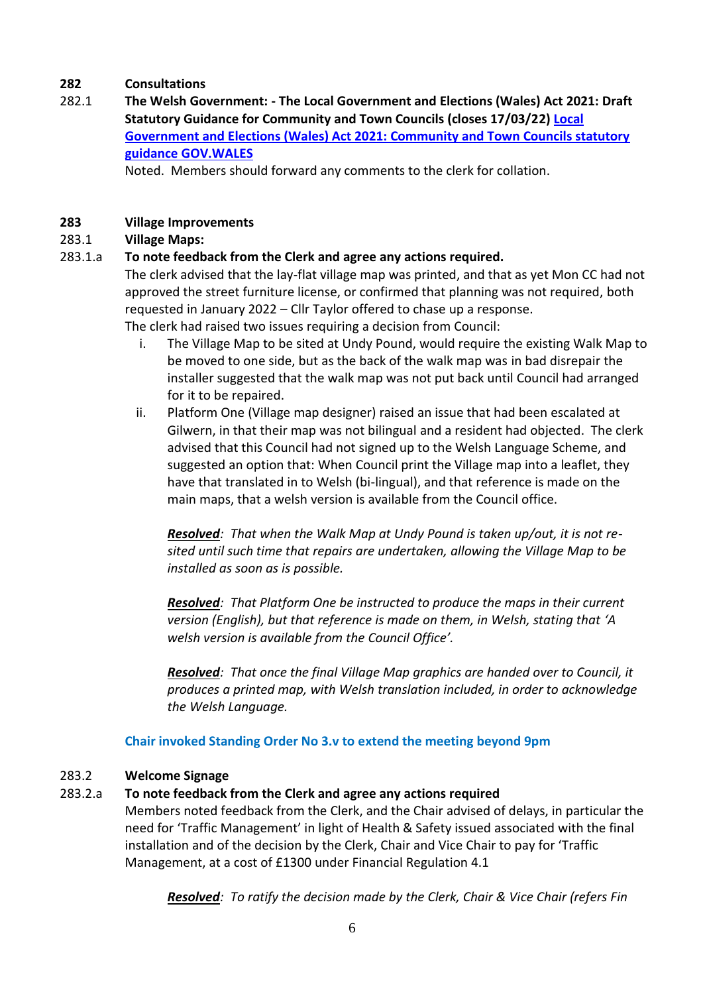## **282 Consultations**

282.1 **The Welsh Government: - The Local Government and Elections (Wales) Act 2021: Draft Statutory Guidance for Community and Town Councils (closes 17/03/22) [Local](https://eur01.safelinks.protection.outlook.com/?url=https%3A%2F%2Fgov.wales%2Flocal-government-and-elections-wales-act-2021-community-and-town-councils-statutory-guidance&data=04%7C01%7CTim.Donegani%40gov.wales%7C6e9dcaa8cbe6407f475b08d9c07ff061%7Ca2cc36c592804ae78887d06dab89216b%7C0%7C0%7C637752477982030045%7CUnknown%7CTWFpbGZsb3d8eyJWIjoiMC4wLjAwMDAiLCJQIjoiV2luMzIiLCJBTiI6Ik1haWwiLCJXVCI6Mn0%3D%7C3000&sdata=jAe1JMc37NgDAYhmPZoF80LkNbWaND1m5UQ3vZeWBaU%3D&reserved=0)  [Government and Elections \(Wales\) Act 2021: Community and Town Councils statutory](https://eur01.safelinks.protection.outlook.com/?url=https%3A%2F%2Fgov.wales%2Flocal-government-and-elections-wales-act-2021-community-and-town-councils-statutory-guidance&data=04%7C01%7CTim.Donegani%40gov.wales%7C6e9dcaa8cbe6407f475b08d9c07ff061%7Ca2cc36c592804ae78887d06dab89216b%7C0%7C0%7C637752477982030045%7CUnknown%7CTWFpbGZsb3d8eyJWIjoiMC4wLjAwMDAiLCJQIjoiV2luMzIiLCJBTiI6Ik1haWwiLCJXVCI6Mn0%3D%7C3000&sdata=jAe1JMc37NgDAYhmPZoF80LkNbWaND1m5UQ3vZeWBaU%3D&reserved=0)  [guidance GOV.WALES](https://eur01.safelinks.protection.outlook.com/?url=https%3A%2F%2Fgov.wales%2Flocal-government-and-elections-wales-act-2021-community-and-town-councils-statutory-guidance&data=04%7C01%7CTim.Donegani%40gov.wales%7C6e9dcaa8cbe6407f475b08d9c07ff061%7Ca2cc36c592804ae78887d06dab89216b%7C0%7C0%7C637752477982030045%7CUnknown%7CTWFpbGZsb3d8eyJWIjoiMC4wLjAwMDAiLCJQIjoiV2luMzIiLCJBTiI6Ik1haWwiLCJXVCI6Mn0%3D%7C3000&sdata=jAe1JMc37NgDAYhmPZoF80LkNbWaND1m5UQ3vZeWBaU%3D&reserved=0)**

Noted. Members should forward any comments to the clerk for collation.

#### **283 Village Improvements**

#### 283.1 **Village Maps:**

#### 283.1.a **To note feedback from the Clerk and agree any actions required.**

The clerk advised that the lay-flat village map was printed, and that as yet Mon CC had not approved the street furniture license, or confirmed that planning was not required, both requested in January 2022 – Cllr Taylor offered to chase up a response. The clerk had raised two issues requiring a decision from Council:

i. The Village Map to be sited at Undy Pound, would require the existing Walk Map to be moved to one side, but as the back of the walk map was in bad disrepair the installer suggested that the walk map was not put back until Council had arranged for it to be repaired.

ii. Platform One (Village map designer) raised an issue that had been escalated at Gilwern, in that their map was not bilingual and a resident had objected. The clerk advised that this Council had not signed up to the Welsh Language Scheme, and suggested an option that: When Council print the Village map into a leaflet, they have that translated in to Welsh (bi-lingual), and that reference is made on the main maps, that a welsh version is available from the Council office.

*Resolved: That when the Walk Map at Undy Pound is taken up/out, it is not resited until such time that repairs are undertaken, allowing the Village Map to be installed as soon as is possible.*

*Resolved: That Platform One be instructed to produce the maps in their current version (English), but that reference is made on them, in Welsh, stating that 'A welsh version is available from the Council Office'.*

*Resolved: That once the final Village Map graphics are handed over to Council, it produces a printed map, with Welsh translation included, in order to acknowledge the Welsh Language.*

#### **Chair invoked Standing Order No 3.v to extend the meeting beyond 9pm**

#### 283.2 **Welcome Signage**

## 283.2.a **To note feedback from the Clerk and agree any actions required**

Members noted feedback from the Clerk, and the Chair advised of delays, in particular the need for 'Traffic Management' in light of Health & Safety issued associated with the final installation and of the decision by the Clerk, Chair and Vice Chair to pay for 'Traffic Management, at a cost of £1300 under Financial Regulation 4.1

*Resolved: To ratify the decision made by the Clerk, Chair & Vice Chair (refers Fin*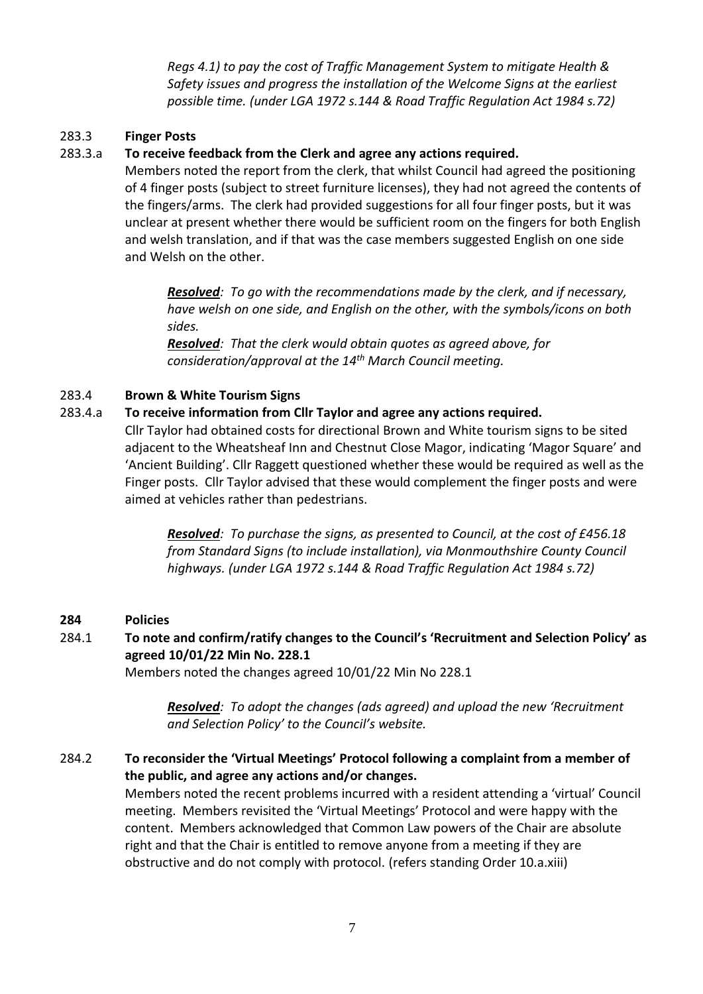*Regs 4.1) to pay the cost of Traffic Management System to mitigate Health & Safety issues and progress the installation of the Welcome Signs at the earliest possible time. (under LGA 1972 s.144 & Road Traffic Regulation Act 1984 s.72)*

#### 283.3 **Finger Posts**

## 283.3.a **To receive feedback from the Clerk and agree any actions required.**

Members noted the report from the clerk, that whilst Council had agreed the positioning of 4 finger posts (subject to street furniture licenses), they had not agreed the contents of the fingers/arms. The clerk had provided suggestions for all four finger posts, but it was unclear at present whether there would be sufficient room on the fingers for both English and welsh translation, and if that was the case members suggested English on one side and Welsh on the other.

*Resolved: To go with the recommendations made by the clerk, and if necessary, have welsh on one side, and English on the other, with the symbols/icons on both sides.*

*Resolved: That the clerk would obtain quotes as agreed above, for consideration/approval at the 14th March Council meeting.*

#### 283.4 **Brown & White Tourism Signs**

## 283.4.a **To receive information from Cllr Taylor and agree any actions required.**

Cllr Taylor had obtained costs for directional Brown and White tourism signs to be sited adjacent to the Wheatsheaf Inn and Chestnut Close Magor, indicating 'Magor Square' and 'Ancient Building'. Cllr Raggett questioned whether these would be required as well as the Finger posts. Cllr Taylor advised that these would complement the finger posts and were aimed at vehicles rather than pedestrians.

*Resolved: To purchase the signs, as presented to Council, at the cost of £456.18 from Standard Signs (to include installation), via Monmouthshire County Council highways. (under LGA 1972 s.144 & Road Traffic Regulation Act 1984 s.72)*

## **284 Policies**

## 284.1 **To note and confirm/ratify changes to the Council's 'Recruitment and Selection Policy' as agreed 10/01/22 Min No. 228.1**

Members noted the changes agreed 10/01/22 Min No 228.1

*Resolved: To adopt the changes (ads agreed) and upload the new 'Recruitment and Selection Policy' to the Council's website.*

## 284.2 **To reconsider the 'Virtual Meetings' Protocol following a complaint from a member of the public, and agree any actions and/or changes.**

Members noted the recent problems incurred with a resident attending a 'virtual' Council meeting. Members revisited the 'Virtual Meetings' Protocol and were happy with the content. Members acknowledged that Common Law powers of the Chair are absolute right and that the Chair is entitled to remove anyone from a meeting if they are obstructive and do not comply with protocol. (refers standing Order 10.a.xiii)